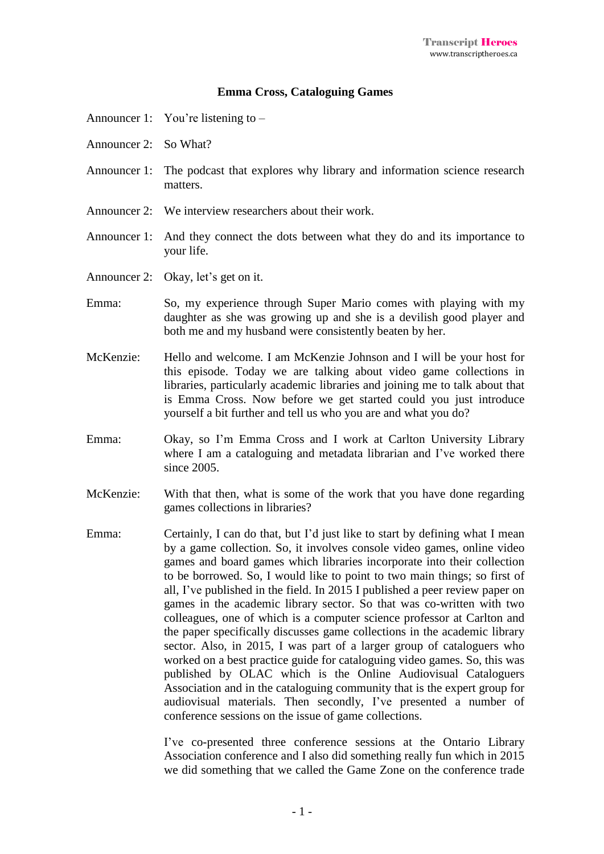## **Emma Cross, Cataloguing Games**

- Announcer 1: You're listening to –
- Announcer 2: So What?
- Announcer 1: The podcast that explores why library and information science research matters.
- Announcer 2: We interview researchers about their work.
- Announcer 1: And they connect the dots between what they do and its importance to your life.
- Announcer 2: Okay, let's get on it.
- Emma: So, my experience through Super Mario comes with playing with my daughter as she was growing up and she is a devilish good player and both me and my husband were consistently beaten by her.
- McKenzie: Hello and welcome. I am McKenzie Johnson and I will be your host for this episode. Today we are talking about video game collections in libraries, particularly academic libraries and joining me to talk about that is Emma Cross. Now before we get started could you just introduce yourself a bit further and tell us who you are and what you do?
- Emma: Okay, so I'm Emma Cross and I work at Carlton University Library where I am a cataloguing and metadata librarian and I've worked there since 2005.
- McKenzie: With that then, what is some of the work that you have done regarding games collections in libraries?
- Emma: Certainly, I can do that, but I'd just like to start by defining what I mean by a game collection. So, it involves console video games, online video games and board games which libraries incorporate into their collection to be borrowed. So, I would like to point to two main things; so first of all, I've published in the field. In 2015 I published a peer review paper on games in the academic library sector. So that was co-written with two colleagues, one of which is a computer science professor at Carlton and the paper specifically discusses game collections in the academic library sector. Also, in 2015, I was part of a larger group of cataloguers who worked on a best practice guide for cataloguing video games. So, this was published by OLAC which is the Online Audiovisual Cataloguers Association and in the cataloguing community that is the expert group for audiovisual materials. Then secondly, I've presented a number of conference sessions on the issue of game collections.

I've co-presented three conference sessions at the Ontario Library Association conference and I also did something really fun which in 2015 we did something that we called the Game Zone on the conference trade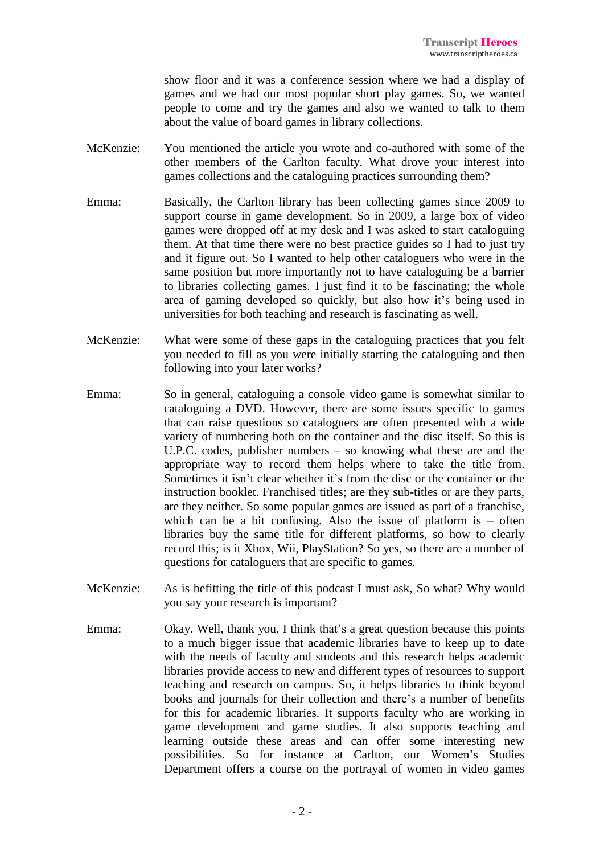show floor and it was a conference session where we had a display of games and we had our most popular short play games. So, we wanted people to come and try the games and also we wanted to talk to them about the value of board games in library collections.

- McKenzie: You mentioned the article you wrote and co-authored with some of the other members of the Carlton faculty. What drove your interest into games collections and the cataloguing practices surrounding them?
- Emma: Basically, the Carlton library has been collecting games since 2009 to support course in game development. So in 2009, a large box of video games were dropped off at my desk and I was asked to start cataloguing them. At that time there were no best practice guides so I had to just try and it figure out. So I wanted to help other cataloguers who were in the same position but more importantly not to have cataloguing be a barrier to libraries collecting games. I just find it to be fascinating; the whole area of gaming developed so quickly, but also how it's being used in universities for both teaching and research is fascinating as well.
- McKenzie: What were some of these gaps in the cataloguing practices that you felt you needed to fill as you were initially starting the cataloguing and then following into your later works?
- Emma: So in general, cataloguing a console video game is somewhat similar to cataloguing a DVD. However, there are some issues specific to games that can raise questions so cataloguers are often presented with a wide variety of numbering both on the container and the disc itself. So this is U.P.C. codes, publisher numbers – so knowing what these are and the appropriate way to record them helps where to take the title from. Sometimes it isn't clear whether it's from the disc or the container or the instruction booklet. Franchised titles; are they sub-titles or are they parts, are they neither. So some popular games are issued as part of a franchise, which can be a bit confusing. Also the issue of platform is – often libraries buy the same title for different platforms, so how to clearly record this; is it Xbox, Wii, PlayStation? So yes, so there are a number of questions for cataloguers that are specific to games.
- McKenzie: As is befitting the title of this podcast I must ask, So what? Why would you say your research is important?
- Emma: Okay. Well, thank you. I think that's a great question because this points to a much bigger issue that academic libraries have to keep up to date with the needs of faculty and students and this research helps academic libraries provide access to new and different types of resources to support teaching and research on campus. So, it helps libraries to think beyond books and journals for their collection and there's a number of benefits for this for academic libraries. It supports faculty who are working in game development and game studies. It also supports teaching and learning outside these areas and can offer some interesting new possibilities. So for instance at Carlton, our Women's Studies Department offers a course on the portrayal of women in video games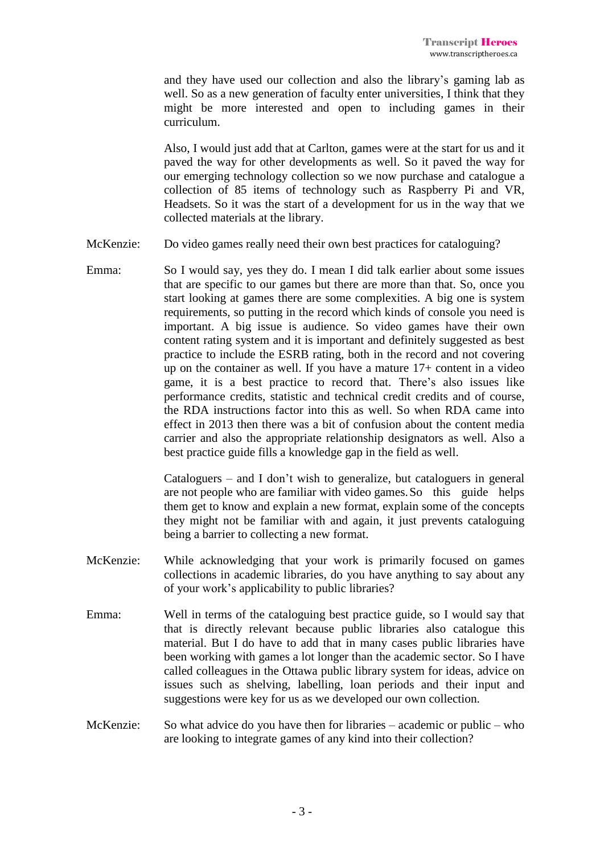and they have used our collection and also the library's gaming lab as well. So as a new generation of faculty enter universities, I think that they might be more interested and open to including games in their curriculum.

Also, I would just add that at Carlton, games were at the start for us and it paved the way for other developments as well. So it paved the way for our emerging technology collection so we now purchase and catalogue a collection of 85 items of technology such as Raspberry Pi and VR, Headsets. So it was the start of a development for us in the way that we collected materials at the library.

- McKenzie: Do video games really need their own best practices for cataloguing?
- Emma: So I would say, yes they do. I mean I did talk earlier about some issues that are specific to our games but there are more than that. So, once you start looking at games there are some complexities. A big one is system requirements, so putting in the record which kinds of console you need is important. A big issue is audience. So video games have their own content rating system and it is important and definitely suggested as best practice to include the ESRB rating, both in the record and not covering up on the container as well. If you have a mature 17+ content in a video game, it is a best practice to record that. There's also issues like performance credits, statistic and technical credit credits and of course, the RDA instructions factor into this as well. So when RDA came into effect in 2013 then there was a bit of confusion about the content media carrier and also the appropriate relationship designators as well. Also a best practice guide fills a knowledge gap in the field as well.

Cataloguers – and I don't wish to generalize, but cataloguers in general are not people who are familiar with video games.So this guide helps them get to know and explain a new format, explain some of the concepts they might not be familiar with and again, it just prevents cataloguing being a barrier to collecting a new format.

- McKenzie: While acknowledging that your work is primarily focused on games collections in academic libraries, do you have anything to say about any of your work's applicability to public libraries?
- Emma: Well in terms of the cataloguing best practice guide, so I would say that that is directly relevant because public libraries also catalogue this material. But I do have to add that in many cases public libraries have been working with games a lot longer than the academic sector. So I have called colleagues in the Ottawa public library system for ideas, advice on issues such as shelving, labelling, loan periods and their input and suggestions were key for us as we developed our own collection.
- McKenzie: So what advice do you have then for libraries academic or public who are looking to integrate games of any kind into their collection?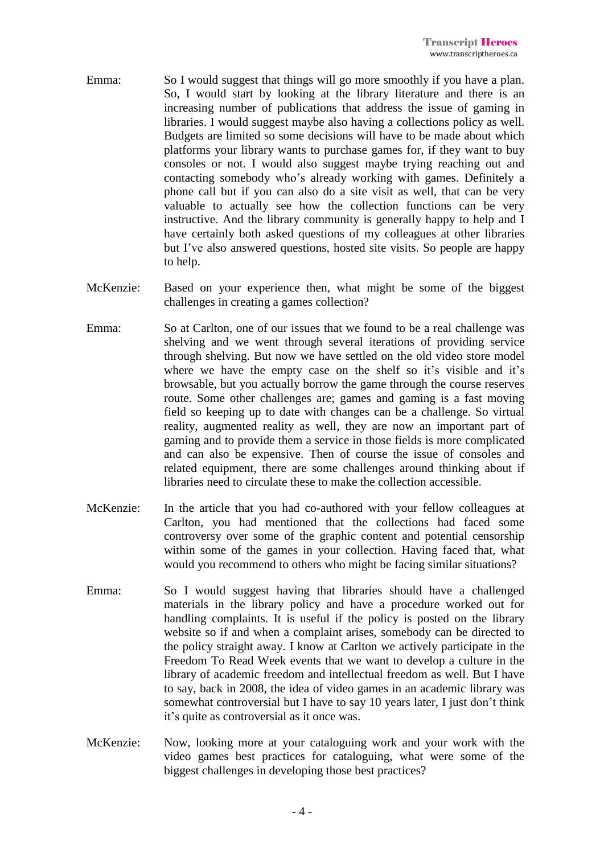- Emma: So I would suggest that things will go more smoothly if you have a plan. So, I would start by looking at the library literature and there is an increasing number of publications that address the issue of gaming in libraries. I would suggest maybe also having a collections policy as well. Budgets are limited so some decisions will have to be made about which platforms your library wants to purchase games for, if they want to buy consoles or not. I would also suggest maybe trying reaching out and contacting somebody who's already working with games. Definitely a phone call but if you can also do a site visit as well, that can be very valuable to actually see how the collection functions can be very instructive. And the library community is generally happy to help and I have certainly both asked questions of my colleagues at other libraries but I've also answered questions, hosted site visits. So people are happy to help.
- McKenzie: Based on your experience then, what might be some of the biggest challenges in creating a games collection?
- Emma: So at Carlton, one of our issues that we found to be a real challenge was shelving and we went through several iterations of providing service through shelving. But now we have settled on the old video store model where we have the empty case on the shelf so it's visible and it's browsable, but you actually borrow the game through the course reserves route. Some other challenges are; games and gaming is a fast moving field so keeping up to date with changes can be a challenge. So virtual reality, augmented reality as well, they are now an important part of gaming and to provide them a service in those fields is more complicated and can also be expensive. Then of course the issue of consoles and related equipment, there are some challenges around thinking about if libraries need to circulate these to make the collection accessible.
- McKenzie: In the article that you had co-authored with your fellow colleagues at Carlton, you had mentioned that the collections had faced some controversy over some of the graphic content and potential censorship within some of the games in your collection. Having faced that, what would you recommend to others who might be facing similar situations?
- Emma: So I would suggest having that libraries should have a challenged materials in the library policy and have a procedure worked out for handling complaints. It is useful if the policy is posted on the library website so if and when a complaint arises, somebody can be directed to the policy straight away. I know at Carlton we actively participate in the Freedom To Read Week events that we want to develop a culture in the library of academic freedom and intellectual freedom as well. But I have to say, back in 2008, the idea of video games in an academic library was somewhat controversial but I have to say 10 years later, I just don't think it's quite as controversial as it once was.
- McKenzie: Now, looking more at your cataloguing work and your work with the video games best practices for cataloguing, what were some of the biggest challenges in developing those best practices?